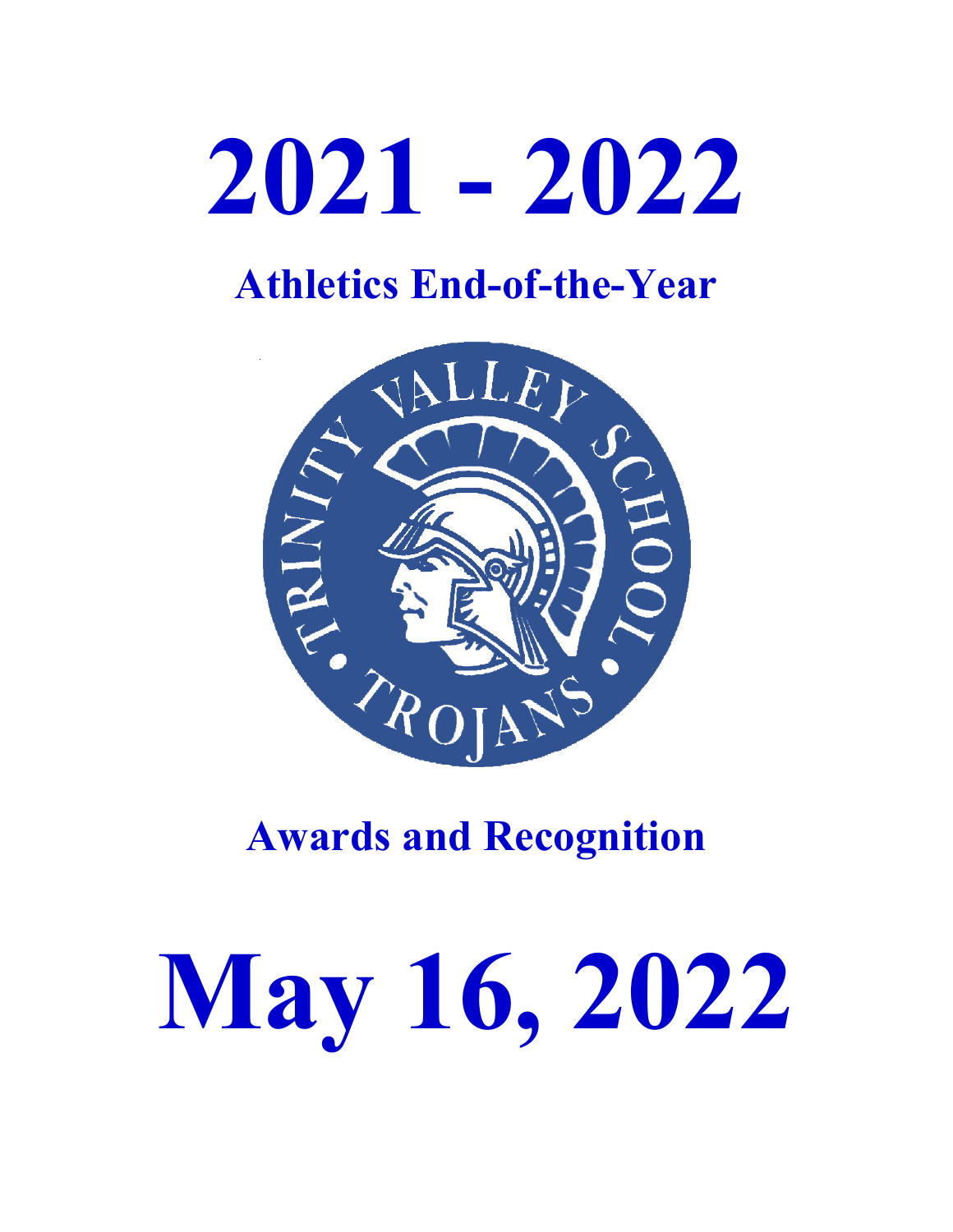# **2021 - 2022**

## **Athletics End-of-the-Year**



## **Awards and Recognition**

# **May 16, 2022**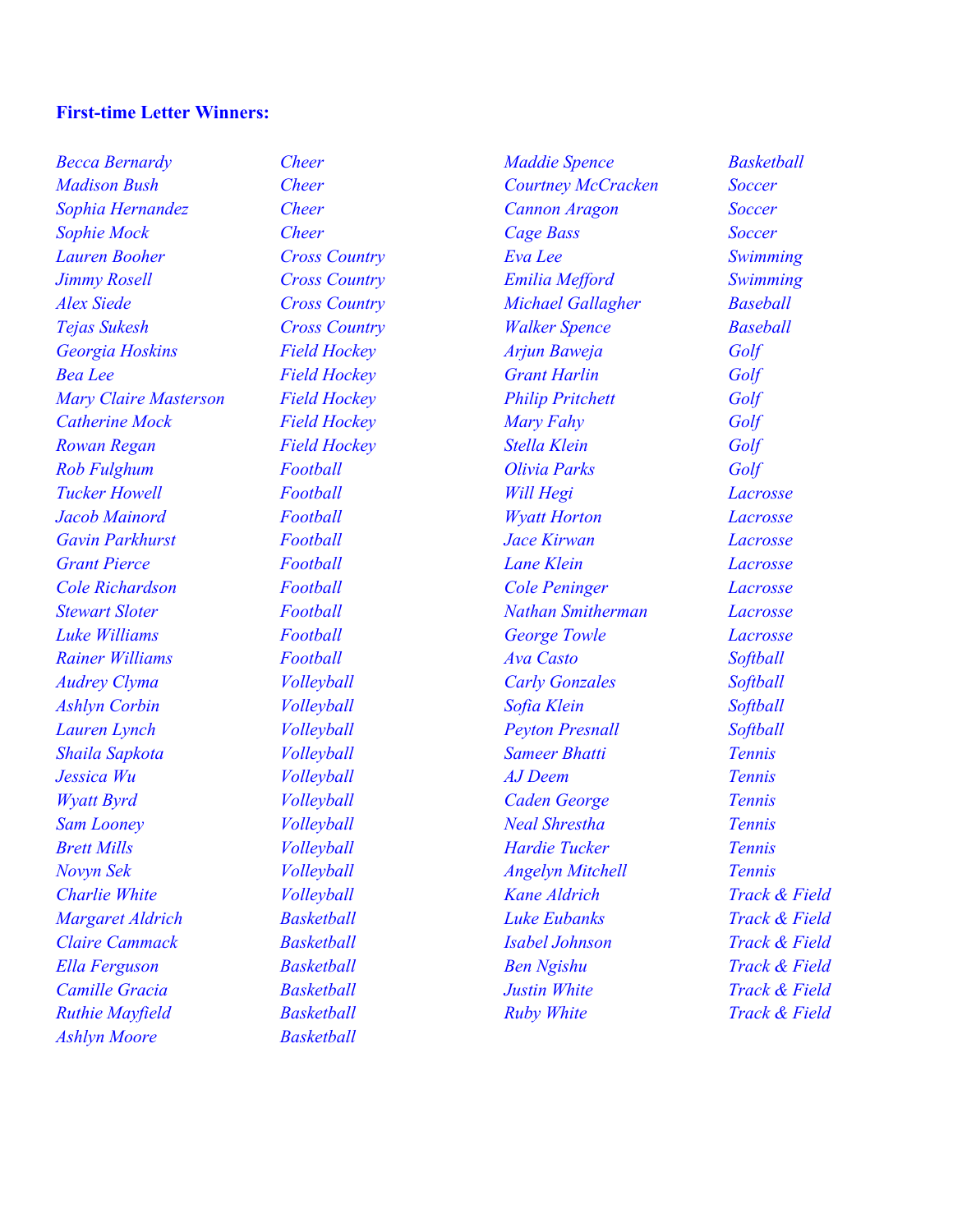#### **First-time Letter Winners:**

*Becca Bernardy Cheer Madison Bush Cheer Sophia Hernandez Cheer Sophie Mock Cheer Lauren Booher Cross Country Jimmy Rosell Cross Country Alex Siede Cross Country Tejas Sukesh Cross Country Georgia Hoskins Field Hockey Bea Lee Field Hockey Mary Claire Masterson Field Hockey Catherine Mock Field Hockey Rowan Regan Field Hockey Rob Fulghum Football Tucker Howell Football Jacob Mainord Football Gavin Parkhurst Football Grant Pierce Football Cole Richardson Football Stewart Sloter Football Luke Williams Football Rainer Williams Football Audrey Clyma Volleyball Ashlyn Corbin Volleyball Lauren Lynch Volleyball Shaila Sapkota Volleyball Jessica Wu Volleyball Wyatt Byrd Volleyball Sam Looney Volleyball Brett Mills Volleyball Novyn Sek Volleyball Charlie White Volleyball Margaret Aldrich Basketball Claire Cammack Basketball Ella Ferguson Basketball Camille Gracia Basketball Ruthie Mayfield Basketball Ashlyn Moore Basketball*

*Maddie Spence Basketball Courtney McCracken Soccer Cannon Aragon Soccer Cage Bass Soccer Eva Lee Swimming Emilia Mefford Swimming Michael Gallagher Baseball Walker Spence Baseball Arjun Baweja Golf Grant Harlin Golf Philip Pritchett Golf Mary Fahy Golf Stella Klein Golf Olivia Parks Golf Will Hegi Lacrosse Wyatt Horton Lacrosse Jace Kirwan Lacrosse Lane Klein Lacrosse Cole Peninger Lacrosse Nathan Smitherman Lacrosse George Towle Lacrosse Ava Casto Softball Carly Gonzales Softball Sofia Klein Softball Peyton Presnall Softball Sameer Bhatti Tennis AJ Deem Tennis Caden George Tennis Neal Shrestha Tennis Hardie Tucker Tennis Angelyn Mitchell Tennis Kane Aldrich Track & Field Luke Eubanks Track & Field Isabel Johnson Track & Field Ben Ngishu Track & Field Justin White Track & Field Ruby White Track & Field*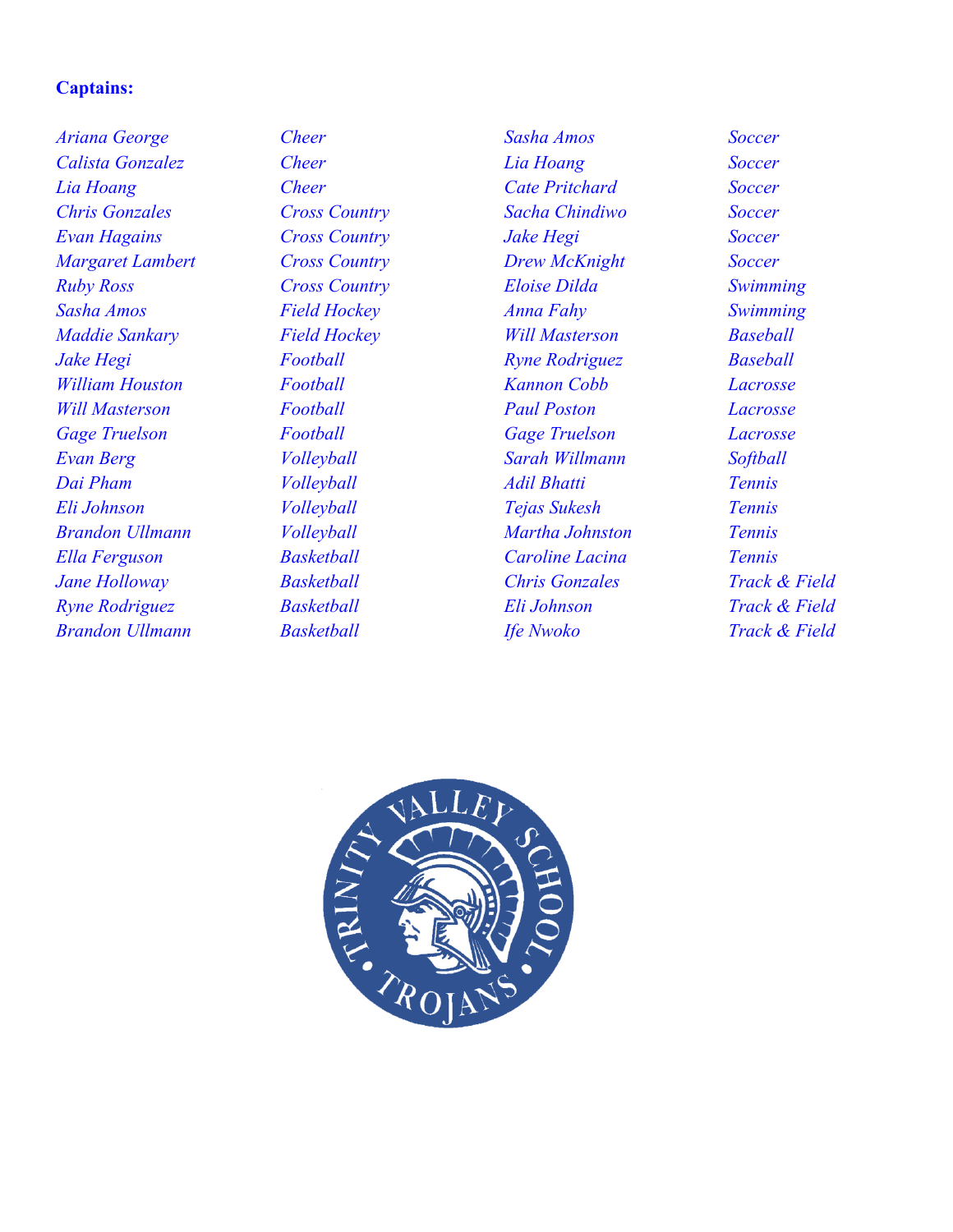### **Captains:**

*Ariana George Cheer Calista Gonzalez Cheer Lia Hoang Cheer Chris Gonzales Cross Country Evan Hagains Cross Country Margaret Lambert Cross Country Ruby Ross Cross Country Sasha Amos Field Hockey Maddie Sankary Field Hockey Jake Hegi Football William Houston Football Will Masterson Football Gage Truelson Football Evan Berg Volleyball Dai Pham Volleyball Eli Johnson Volleyball Brandon Ullmann Volleyball Ella Ferguson Basketball Jane Holloway Basketball Ryne Rodriguez Basketball Brandon Ullmann Basketball*

*Sasha Amos Soccer Lia Hoang Soccer Cate Pritchard Soccer Sacha Chindiwo Soccer Jake Hegi Soccer Drew McKnight Soccer Eloise Dilda Swimming Anna Fahy Swimming Will Masterson Baseball Ryne Rodriguez Baseball Kannon Cobb Lacrosse Paul Poston Lacrosse Gage Truelson Lacrosse Sarah Willmann Softball Adil Bhatti Tennis Tejas Sukesh Tennis Martha Johnston Tennis Caroline Lacina Tennis Chris Gonzales Track & Field Eli Johnson Track & Field Ife Nwoko Track & Field*

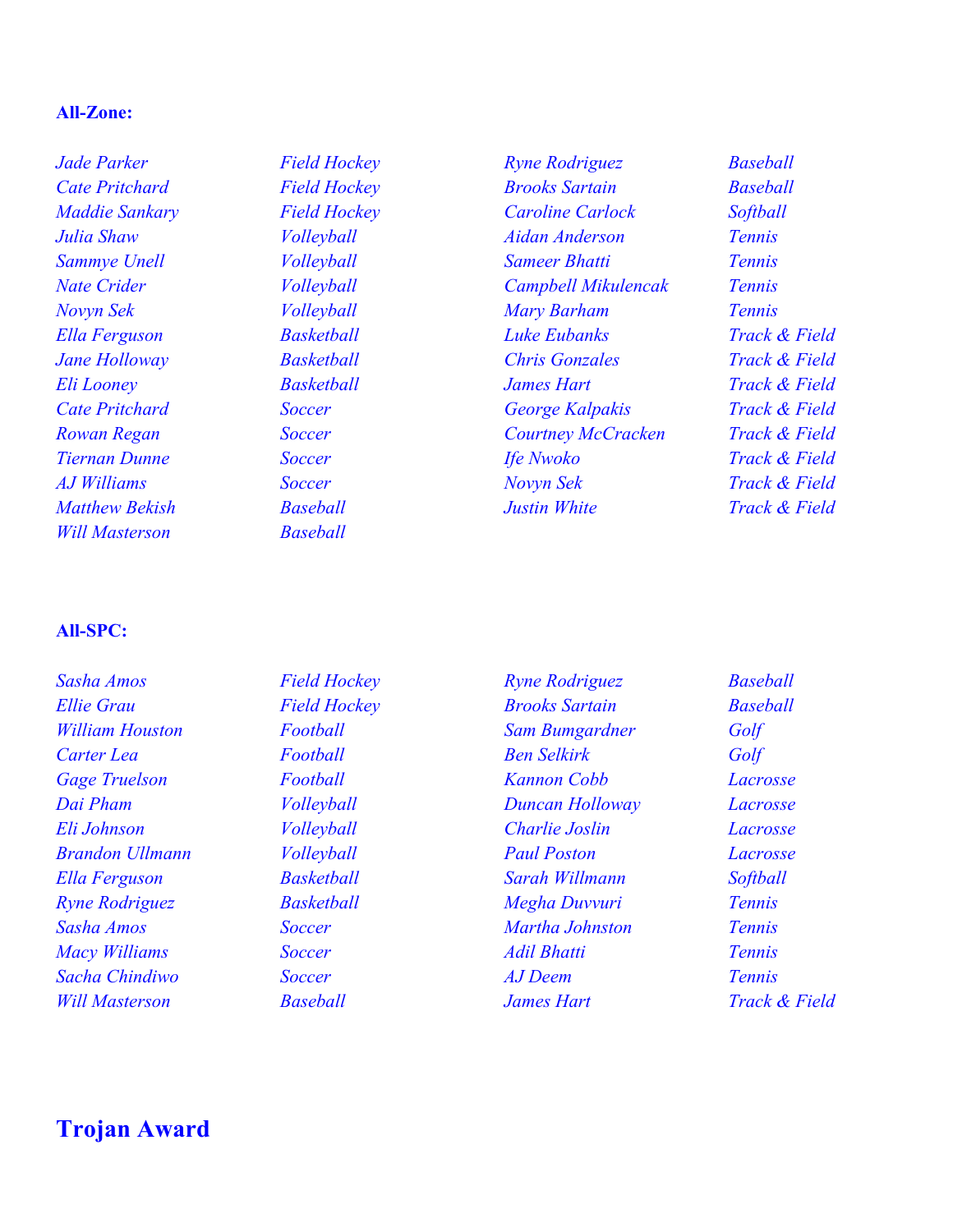#### **All-Zone:**

*Jade Parker Field Hockey Cate Pritchard Field Hockey Maddie Sankary Field Hockey Julia Shaw Volleyball Sammye Unell Volleyball Nate Crider Volleyball Novyn Sek Volleyball Ella Ferguson Basketball Jane Holloway Basketball Eli Looney Basketball Cate Pritchard Soccer Rowan Regan Soccer Tiernan Dunne Soccer AJ Williams Soccer Matthew Bekish Baseball Will Masterson Baseball*

*Ryne Rodriguez Baseball Brooks Sartain Baseball Caroline Carlock Softball Aidan Anderson Tennis Sameer Bhatti Tennis Campbell Mikulencak Tennis Mary Barham Tennis Luke Eubanks Track & Field Chris Gonzales Track & Field James Hart Track & Field George Kalpakis Track & Field Courtney McCracken Track & Field Ife Nwoko Track & Field Novyn Sek Track & Field Justin White Track & Field*

#### **All-SPC:**

*Sasha Amos Field Hockey Ellie Grau Field Hockey William Houston Football Carter Lea Football Gage Truelson Football Dai Pham Volleyball Eli Johnson Volleyball Brandon Ullmann Volleyball Ella Ferguson Basketball Ryne Rodriguez Basketball Sasha Amos Soccer Macy Williams Soccer Sacha Chindiwo Soccer Will Masterson Baseball*

*Ryne Rodriguez Baseball Brooks Sartain Baseball Sam Bumgardner Golf Ben Selkirk Golf Kannon Cobb Lacrosse Duncan Holloway Lacrosse Charlie Joslin Lacrosse Paul Poston Lacrosse Sarah Willmann Softball Megha Duvvuri Tennis Martha Johnston Tennis Adil Bhatti Tennis AJ Deem Tennis James Hart Track & Field*

## **Trojan Award**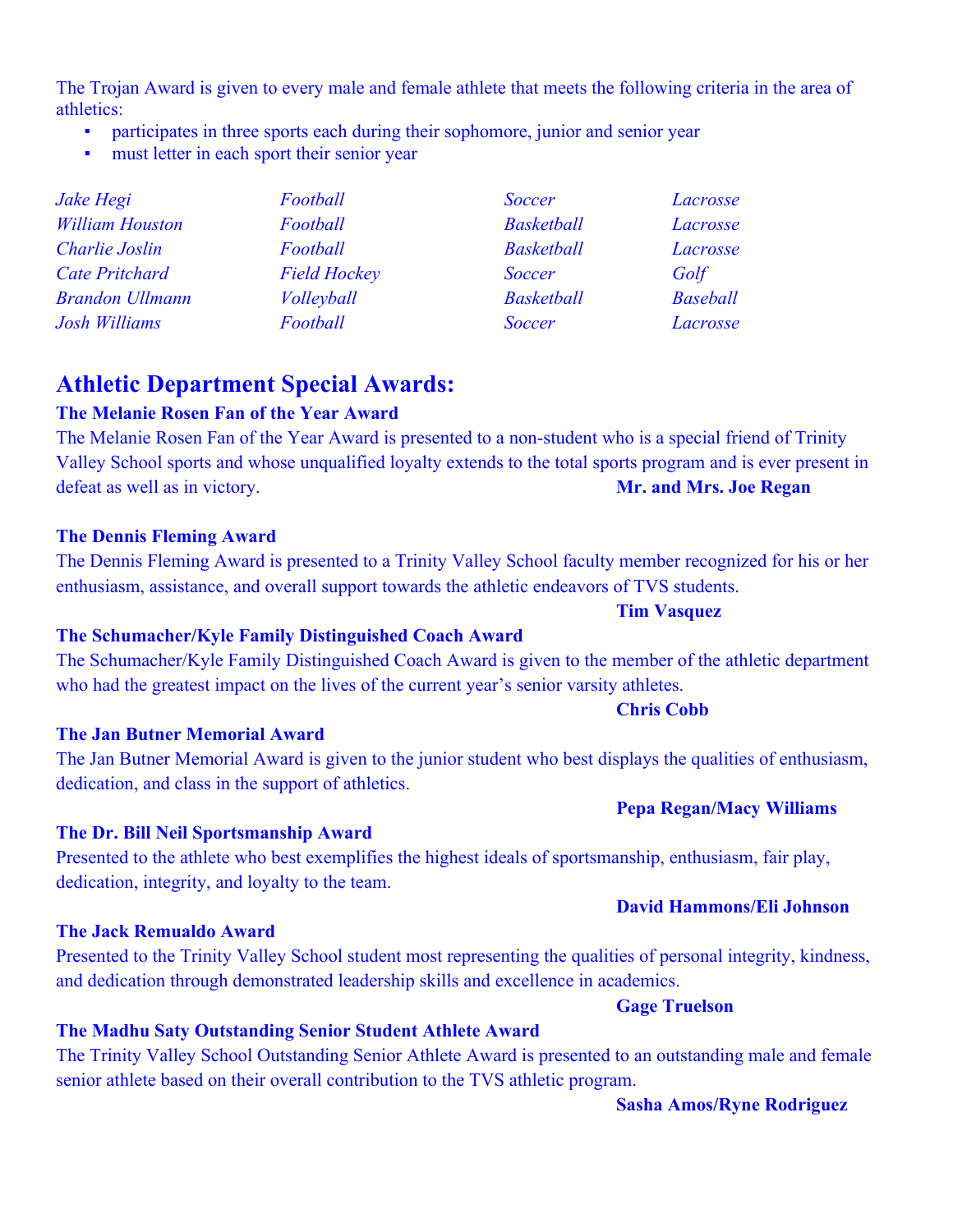The Trojan Award is given to every male and female athlete that meets the following criteria in the area of athletics:

- participates in three sports each during their sophomore, junior and senior year
- must letter in each sport their senior year

| Jake Hegi              | Football            | <b>Soccer</b>     | Lacrosse        |
|------------------------|---------------------|-------------------|-----------------|
| <b>William Houston</b> | Football            | <b>Basketball</b> | Lacrosse        |
| Charlie Joslin         | Football            | <b>Basketball</b> | Lacrosse        |
| <b>Cate Pritchard</b>  | <b>Field Hockey</b> | <b>Soccer</b>     | Golf            |
| <b>Brandon Ullmann</b> | Volleyball          | <b>Basketball</b> | <b>Baseball</b> |
| Josh Williams          | Football            | <b>Soccer</b>     | Lacrosse        |

## **Athletic Department Special Awards:**

### **The Melanie Rosen Fan of the Year Award**

The Melanie Rosen Fan of the Year Award is presented to a non-student who is a special friend of Trinity Valley School sports and whose unqualified loyalty extends to the total sports program and is ever present in defeat as well as in victory. **Mr. and Mrs. Joe Regan** 

#### **The Dennis Fleming Award**

The Dennis Fleming Award is presented to a Trinity Valley School faculty member recognized for his or her enthusiasm, assistance, and overall support towards the athletic endeavors of TVS students.

#### **The Schumacher/Kyle Family Distinguished Coach Award**

The Schumacher/Kyle Family Distinguished Coach Award is given to the member of the athletic department who had the greatest impact on the lives of the current year's senior varsity athletes.

#### **The Jan Butner Memorial Award**

The Jan Butner Memorial Award is given to the junior student who best displays the qualities of enthusiasm, dedication, and class in the support of athletics.

#### **The Dr. Bill Neil Sportsmanship Award**

Presented to the athlete who best exemplifies the highest ideals of sportsmanship, enthusiasm, fair play, dedication, integrity, and loyalty to the team.

#### **The Jack Remualdo Award**

Presented to the Trinity Valley School student most representing the qualities of personal integrity, kindness, and dedication through demonstrated leadership skills and excellence in academics.

#### **Gage Truelson**

### **The Madhu Saty Outstanding Senior Student Athlete Award**

The Trinity Valley School Outstanding Senior Athlete Award is presented to an outstanding male and female senior athlete based on their overall contribution to the TVS athletic program.

#### **Sasha Amos/Ryne Rodriguez**

**Pepa Regan/Macy Williams**

**David Hammons/Eli Johnson**

## **Chris Cobb**

**Tim Vasquez**